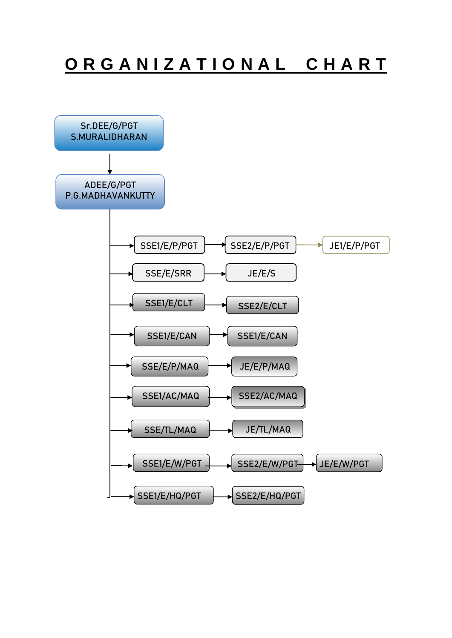# O R G A N I Z A T I O N A L C H A R T

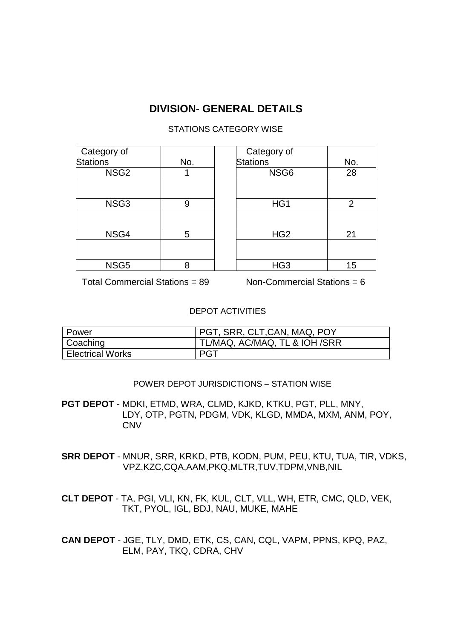# **DIVISION- GENERAL DETAILS**

## STATIONS CATEGORY WISE

| Category of      |     | Category of     |                |
|------------------|-----|-----------------|----------------|
| <b>Stations</b>  | No. | <b>Stations</b> | No.            |
| NSG <sub>2</sub> |     | NSG6            | 28             |
|                  |     |                 |                |
| NSG3             | 9   | HG1             | $\overline{2}$ |
|                  |     |                 |                |
| NSG4             | 5   | HG <sub>2</sub> | 21             |
|                  |     |                 |                |
| NSG <sub>5</sub> | 8   | HG <sub>3</sub> | 15             |

Total Commercial Stations = 89 Non-Commercial Stations = 6

#### DEPOT ACTIVITIES

| Power                   | PGT, SRR, CLT, CAN, MAQ, POY  |
|-------------------------|-------------------------------|
| Coaching                | TL/MAQ, AC/MAQ, TL & IOH /SRR |
| <b>Electrical Works</b> | <b>PGT</b>                    |

#### POWER DEPOT JURISDICTIONS – STATION WISE

**PGT DEPOT** - MDKI, ETMD, WRA, CLMD, KJKD, KTKU, PGT, PLL, MNY, LDY, OTP, PGTN, PDGM, VDK, KLGD, MMDA, MXM, ANM, POY, **CNV** 

**SRR DEPOT** - MNUR, SRR, KRKD, PTB, KODN, PUM, PEU, KTU, TUA, TIR, VDKS, VPZ,KZC,CQA,AAM,PKQ,MLTR,TUV,TDPM,VNB,NIL

**CLT DEPOT** - TA, PGI, VLI, KN, FK, KUL, CLT, VLL, WH, ETR, CMC, QLD, VEK, TKT, PYOL, IGL, BDJ, NAU, MUKE, MAHE

**CAN DEPOT** - JGE, TLY, DMD, ETK, CS, CAN, CQL, VAPM, PPNS, KPQ, PAZ, ELM, PAY, TKQ, CDRA, CHV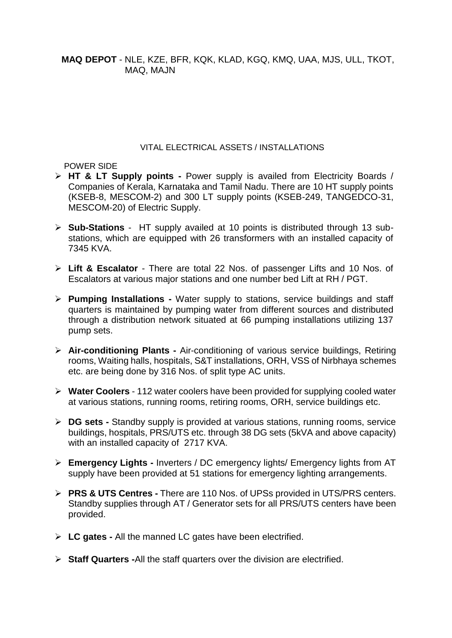**MAQ DEPOT** - NLE, KZE, BFR, KQK, KLAD, KGQ, KMQ, UAA, MJS, ULL, TKOT, MAQ, MAJN

#### VITAL ELECTRICAL ASSETS / INSTALLATIONS

POWER SIDE

- **HT & LT Supply points -** Power supply is availed from Electricity Boards / Companies of Kerala, Karnataka and Tamil Nadu. There are 10 HT supply points (KSEB-8, MESCOM-2) and 300 LT supply points (KSEB-249, TANGEDCO-31, MESCOM-20) of Electric Supply.
- **Sub-Stations**  HT supply availed at 10 points is distributed through 13 substations, which are equipped with 26 transformers with an installed capacity of 7345 KVA.
- **Lift & Escalator** There are total 22 Nos. of passenger Lifts and 10 Nos. of Escalators at various major stations and one number bed Lift at RH / PGT.
- **Pumping Installations -** Water supply to stations, service buildings and staff quarters is maintained by pumping water from different sources and distributed through a distribution network situated at 66 pumping installations utilizing 137 pump sets.
- **Air-conditioning Plants -** Air-conditioning of various service buildings, Retiring rooms, Waiting halls, hospitals, S&T installations, ORH, VSS of Nirbhaya schemes etc. are being done by 316 Nos. of split type AC units.
- **Water Coolers**  112 water coolers have been provided for supplying cooled water at various stations, running rooms, retiring rooms, ORH, service buildings etc.
- **EX** DG sets Standby supply is provided at various stations, running rooms, service buildings, hospitals, PRS/UTS etc. through 38 DG sets (5kVA and above capacity) with an installed capacity of 2717 KVA.
- **Emergency Lights -** Inverters / DC emergency lights/ Emergency lights from AT supply have been provided at 51 stations for emergency lighting arrangements.
- **PRS & UTS Centres -** There are 110 Nos. of UPSs provided in UTS/PRS centers. Standby supplies through AT / Generator sets for all PRS/UTS centers have been provided.
- **LC gates -** All the manned LC gates have been electrified.
- **Staff Quarters -**All the staff quarters over the division are electrified.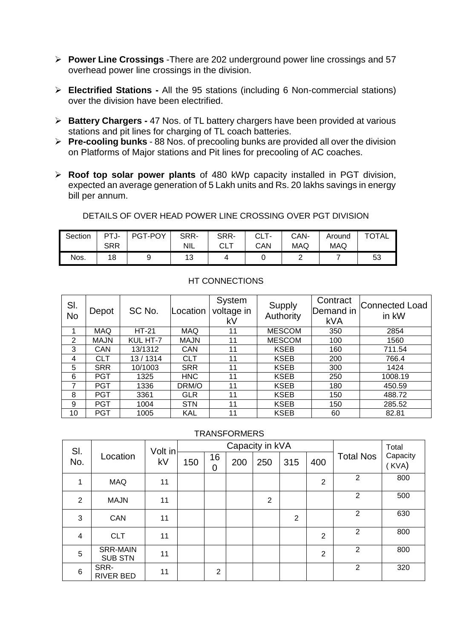- **Power Line Crossings** -There are 202 underground power line crossings and 57 overhead power line crossings in the division.
- **Electrified Stations -** All the 95 stations (including 6 Non-commercial stations) over the division have been electrified.
- **Battery Chargers -** 47 Nos. of TL battery chargers have been provided at various stations and pit lines for charging of TL coach batteries.
- **Pre-cooling bunks** 88 Nos. of precooling bunks are provided all over the division on Platforms of Major stations and Pit lines for precooling of AC coaches.
- **Roof top solar power plants** of 480 kWp capacity installed in PGT division, expected an average generation of 5 Lakh units and Rs. 20 lakhs savings in energy bill per annum.

DETAILS OF OVER HEAD POWER LINE CROSSING OVER PGT DIVISION

| Section | PTJ- | PGT-POY | SRR- | SRR-      | CLT- | CAN-       | Around     | <b>TOTAL</b> |
|---------|------|---------|------|-----------|------|------------|------------|--------------|
|         | SRR  |         | NIL  | ⊤ י<br>◡∟ | CAN  | <b>MAQ</b> | <b>MAQ</b> |              |
| Nos.    | 18   |         | 13   | 4         |      | -          |            | 53           |

| SI.<br><b>No</b> | Depot       | SC No.       | _ocation    | System<br>voltage in<br>kV | Supply<br>Authority | Contract<br>Demand in<br><b>kVA</b> | Connected Load<br>in kW |
|------------------|-------------|--------------|-------------|----------------------------|---------------------|-------------------------------------|-------------------------|
|                  | <b>MAQ</b>  | <b>HT-21</b> | <b>MAQ</b>  | 11                         | <b>MESCOM</b>       | 350                                 | 2854                    |
| 2                | <b>MAJN</b> | KUL HT-7     | <b>MAJN</b> | 11                         | <b>MESCOM</b>       | 100                                 | 1560                    |
| 3                | <b>CAN</b>  | 13/1312      | <b>CAN</b>  | 11                         | <b>KSEB</b>         | 160                                 | 711.54                  |
| 4                | <b>CLT</b>  | 13/1314      | <b>CLT</b>  | 11                         | <b>KSEB</b>         | 200                                 | 766.4                   |
| 5                | <b>SRR</b>  | 10/1003      | <b>SRR</b>  | 11                         | <b>KSEB</b>         | 300                                 | 1424                    |
| 6                | <b>PGT</b>  | 1325         | <b>HNC</b>  | 11                         | <b>KSEB</b>         | 250                                 | 1008.19                 |
| 7                | <b>PGT</b>  | 1336         | DRM/O       | 11                         | <b>KSEB</b>         | 180                                 | 450.59                  |
| 8                | <b>PGT</b>  | 3361         | <b>GLR</b>  | 11                         | <b>KSEB</b>         | 150                                 | 488.72                  |
| 9                | <b>PGT</b>  | 1004         | <b>STN</b>  | 11                         | <b>KSEB</b>         | 150                                 | 285.52                  |
| 10               | <b>PGT</b>  | 1005         | KAL         | 11                         | <b>KSEB</b>         | 60                                  | 82.81                   |

## HT CONNECTIONS

#### **TRANSFORMERS**

| SI.             |                                   | Volt in |     |                |     | Capacity in kVA |                |                |                  | Total             |
|-----------------|-----------------------------------|---------|-----|----------------|-----|-----------------|----------------|----------------|------------------|-------------------|
| No.             | Location                          | kV      | 150 | 16<br>0        | 200 | 250             | 315            | 400            | <b>Total Nos</b> | Capacity<br>(KVA) |
| 1               | <b>MAQ</b>                        | 11      |     |                |     |                 |                | $\overline{2}$ | $\overline{2}$   | 800               |
| 2               | <b>MAJN</b>                       | 11      |     |                |     | $\overline{2}$  |                |                | $\overline{2}$   | 500               |
| 3               | <b>CAN</b>                        | 11      |     |                |     |                 | $\overline{2}$ |                | 2                | 630               |
| 4               | <b>CLT</b>                        | 11      |     |                |     |                 |                | $\overline{2}$ | $\overline{2}$   | 800               |
| 5               | <b>SRR-MAIN</b><br><b>SUB STN</b> | 11      |     |                |     |                 |                | $\overline{2}$ | 2                | 800               |
| $6\phantom{1}6$ | SRR-<br><b>RIVER BED</b>          | 11      |     | $\overline{2}$ |     |                 |                |                | $\overline{2}$   | 320               |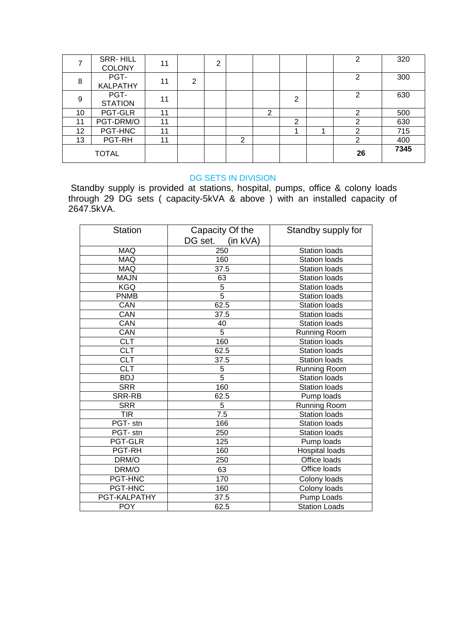|                 | SRR-HILL<br><b>COLONY</b> | 11 |   | 2 |   |                |   | 2  | 320  |
|-----------------|---------------------------|----|---|---|---|----------------|---|----|------|
| 8               | PGT-<br><b>KALPATHY</b>   | 11 | 2 |   |   |                |   | 2  | 300  |
| 9               | PGT-<br><b>STATION</b>    | 11 |   |   |   |                | 2 | 2  | 630  |
| 10              | PGT-GLR                   | 11 |   |   |   | $\overline{2}$ |   | ⌒  | 500  |
| 11              | PGT-DRM/O                 | 11 |   |   |   |                | 2 | ⌒  | 630  |
| 12 <sub>2</sub> | PGT-HNC                   | 11 |   |   |   |                |   | າ  | 715  |
| 13              | PGT-RH                    | 11 |   |   | っ |                |   | ⌒  | 400  |
|                 | <b>TOTAL</b>              |    |   |   |   |                |   | 26 | 7345 |

#### DG SETS IN DIVISION

Standby supply is provided at stations, hospital, pumps, office & colony loads through 29 DG sets ( capacity-5kVA & above ) with an installed capacity of 2647.5kVA.

| <b>Station</b> | Capacity Of the<br>DG set.<br>$(in$ kVA $)$ | Standby supply for   |
|----------------|---------------------------------------------|----------------------|
| <b>MAQ</b>     | 250                                         | <b>Station loads</b> |
| <b>MAQ</b>     | 160                                         | <b>Station loads</b> |
| <b>MAQ</b>     | 37.5                                        | <b>Station loads</b> |
| <b>MAJN</b>    | 63                                          | <b>Station loads</b> |
| <b>KGQ</b>     | 5                                           | <b>Station loads</b> |
| <b>PNMB</b>    | 5                                           | <b>Station loads</b> |
| CAN            | 62.5                                        | <b>Station loads</b> |
| CAN            | 37.5                                        | <b>Station loads</b> |
| CAN            | 40                                          | <b>Station loads</b> |
| CAN            | 5                                           | Running Room         |
| <b>CLT</b>     | 160                                         | <b>Station loads</b> |
| <b>CLT</b>     | 62.5                                        | <b>Station loads</b> |
| <b>CLT</b>     | 37.5                                        | <b>Station loads</b> |
| CLT            | 5                                           | <b>Running Room</b>  |
| <b>BDJ</b>     | $\overline{5}$                              | <b>Station loads</b> |
| <b>SRR</b>     | 160                                         | Station loads        |
| SRR-RB         | 62.5                                        | Pump loads           |
| <b>SRR</b>     | 5                                           | <b>Running Room</b>  |
| TIR            | 7.5                                         | <b>Station loads</b> |
| PGT-stn        | 166                                         | <b>Station loads</b> |
| PGT- stn       | 250                                         | <b>Station loads</b> |
| <b>PGT-GLR</b> | 125                                         | Pump loads           |
| PGT-RH         | 160                                         | Hospital loads       |
| DRM/O          | 250                                         | Office loads         |
| DRM/O          | 63                                          | Office loads         |
| PGT-HNC        | 170                                         | Colony loads         |
| PGT-HNC        | 160                                         | Colony loads         |
| PGT-KALPATHY   | 37.5                                        | Pump Loads           |
| <b>POY</b>     | 62.5                                        | <b>Station Loads</b> |